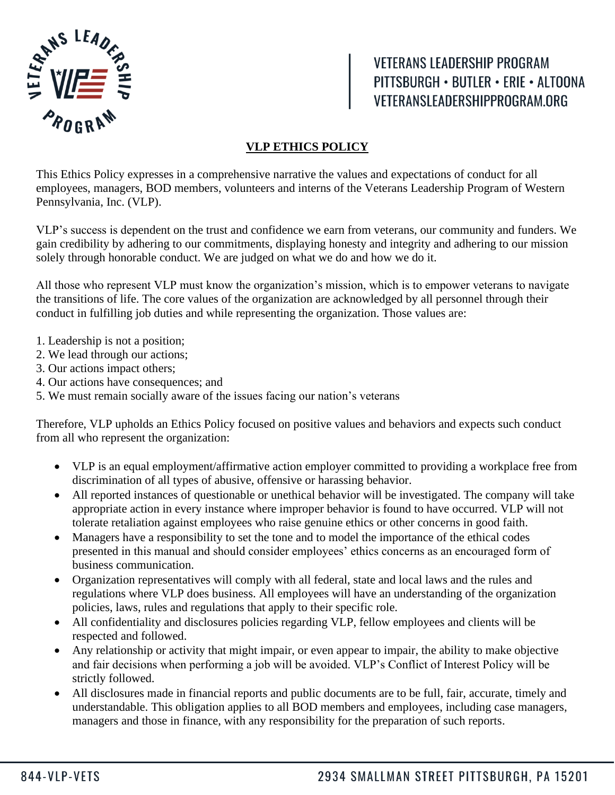

**VETERANS LEADERSHIP PROGRAM** PITTSBURGH · BUTLER · ERIE · ALTOONA VETERANSLEADERSHIPPROGRAM.ORG

## **VLP ETHICS POLICY**

This Ethics Policy expresses in a comprehensive narrative the values and expectations of conduct for all employees, managers, BOD members, volunteers and interns of the Veterans Leadership Program of Western Pennsylvania, Inc. (VLP).

VLP's success is dependent on the trust and confidence we earn from veterans, our community and funders. We gain credibility by adhering to our commitments, displaying honesty and integrity and adhering to our mission solely through honorable conduct. We are judged on what we do and how we do it.

All those who represent VLP must know the organization's mission, which is to empower veterans to navigate the transitions of life. The core values of the organization are acknowledged by all personnel through their conduct in fulfilling job duties and while representing the organization. Those values are:

- 1. Leadership is not a position;
- 2. We lead through our actions;
- 3. Our actions impact others;
- 4. Our actions have consequences; and
- 5. We must remain socially aware of the issues facing our nation's veterans

Therefore, VLP upholds an Ethics Policy focused on positive values and behaviors and expects such conduct from all who represent the organization:

- VLP is an equal employment/affirmative action employer committed to providing a workplace free from discrimination of all types of abusive, offensive or harassing behavior.
- All reported instances of questionable or unethical behavior will be investigated. The company will take appropriate action in every instance where improper behavior is found to have occurred. VLP will not tolerate retaliation against employees who raise genuine ethics or other concerns in good faith.
- Managers have a responsibility to set the tone and to model the importance of the ethical codes presented in this manual and should consider employees' ethics concerns as an encouraged form of business communication.
- Organization representatives will comply with all federal, state and local laws and the rules and regulations where VLP does business. All employees will have an understanding of the organization policies, laws, rules and regulations that apply to their specific role.
- All confidentiality and disclosures policies regarding VLP, fellow employees and clients will be respected and followed.
- Any relationship or activity that might impair, or even appear to impair, the ability to make objective and fair decisions when performing a job will be avoided. VLP's Conflict of Interest Policy will be strictly followed.
- All disclosures made in financial reports and public documents are to be full, fair, accurate, timely and understandable. This obligation applies to all BOD members and employees, including case managers, managers and those in finance, with any responsibility for the preparation of such reports.